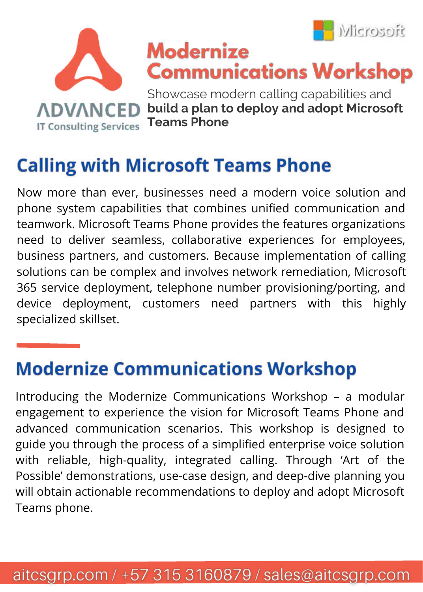



# **Calling with Microsoft Teams Phone**

Now more than ever, businesses need a modern voice solution and phone system capabilities that combines unified communication and teamwork. Microsoft Teams Phone provides the features organizations need to deliver seamless, collaborative experiences for employees, business partners, and customers. Because implementation of calling solutions can be complex and involves network remediation, Microsoft 365 service deployment, telephone number provisioning/porting, and device deployment, customers need partners with this highly specialized skillset.

## **Modernize Communications Workshop**

Introducing the Modernize Communications Workshop – a modular engagement to experience the vision for Microsoft Teams Phone and advanced communication scenarios. This workshop is designed to guide you through the process of a simplified enterprise voice solution with reliable, high-quality, integrated calling. Through 'Art of the Possible' demonstrations, use-case design, and deep-dive planning you will obtain actionable recommendations to deploy and adopt Microsoft Teams phone.

#### aitcsgrp.com / +57 315 3160879 / sales@aitcsgrp.com